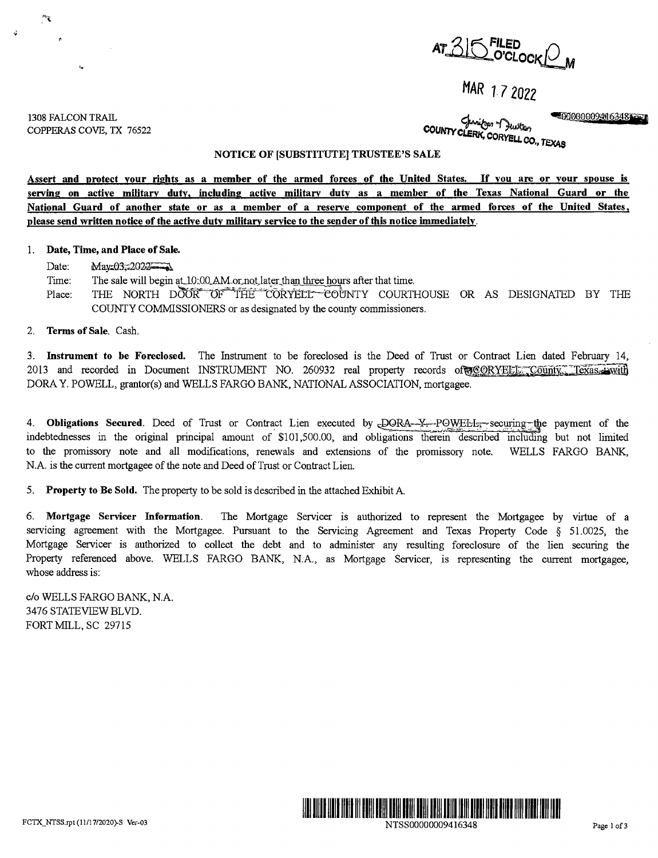$AT 315$  <sup>FILED</sup> *M* 

# **MAR l 7 2022**

1308 FALCON TRAIL COPPERAS COVE, TX 76522

00000009496348€€<br>Chritogen of Quitos COUNTY CLERK, CORYELL CO., TEXAS

### **NOTICE OF [SUBSTITUTE] TRUSTEE'S SALE**

**Assert and protect your rights as a member of the armed forces of the United States. If you are or your spouse is**  serving on active military duty, including active military duty as a member of the Texas National Guard or the National Guard of another state or as a member of a reserve component of the armed forces of the United States, **please send written notice of the active duty military service to the sender of this notice immediatelv.** 

### 1. **Date, Time, and Place of Sale.**

Date:  $\text{Mav}_2 03 = 2022$ 

Time: The sale will begin at 10:00 AM or not later than three hours after that time.

Place: THE NORTH DOOR OF THE CORYELL COUNTY COURTHOUSE OR AS DESIGNATED BY THE COUNTY COMMISSIONERS or as designated by the county commissioners.

# 2. **Terms of Sale.** Cash.

3. **Instrument to be Foreclosed.** The Instrument to be foreclosed is the Deed of Trust or Contract Lien dated February 14, 2013 and recorded in Document INSTRUMENT NO. 260932 real property records of CORYELLE; County, Texas, with DORA Y. POWELL, grantor(s) and WELLS FARGO BANK, NATIONAL ASSOCIATION, mortgagee.

4. **Obligations Secured**. Deed of Trust or Contract Lien executed by DORA--Y---POWELL<sub>5</sub>-securing-the payment of the indebtednesses in the original principal amount of \$101,500.00, and obligations therein described including but not limited to the promissory note and all modifications, renewals and extensions of the promissory note. WELLS FARGO BANK, N.A. is the current mortgagee of the note and Deed of Trust or Contract Lien.

5. **Property to Be Sold.** The property to be sold is described in the attached Exhibit A.

6. **Mortgage Servicer Information.** The Mortgage Servicer is authorized to represent the Mortgagee by virtue of a servicing agreement with the Mortgagee. Pursuant to the Servicing Agreement and Texas Property Code § 51.0025, the Mortgage Servicer is authorized to collect the debt and to administer any resulting foreclosure of the lien securing the Property referenced above. WELLS FARGO BANK, N.A., as Mortgage Servicer, is representing the current mortgagee, whose address is:

c/o WELLS FARGO BANK, N.A. 3476 STATEVIEWBLVD. FORT MILL, SC 29715

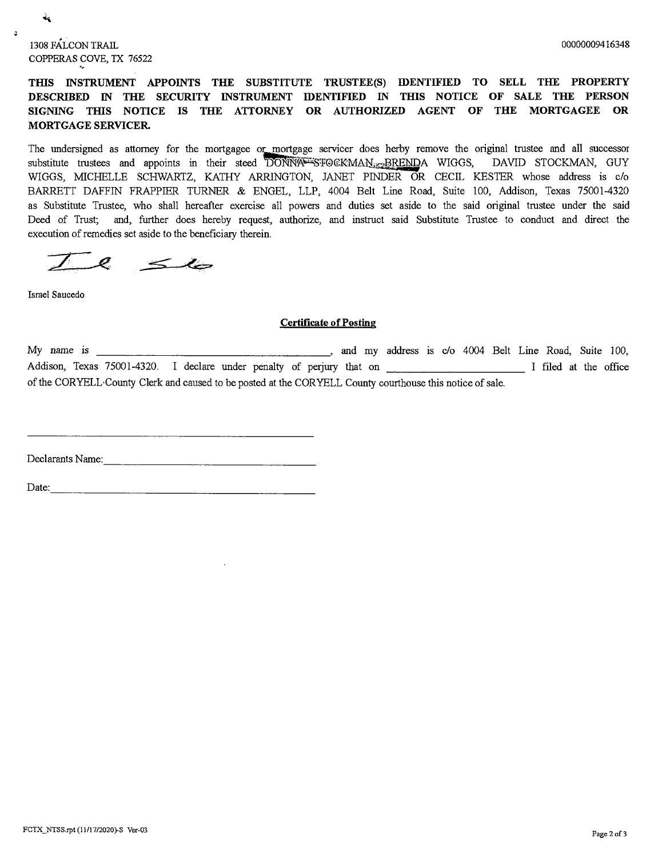1308 FALCON TRAIL COPPERAS COVE, TX 76522

--

ને

 $\mathbf{a}$ 

THIS INSTRUMENT APPOINTS THE SUBSTITUTE TRUSTEE(S) IDENTIFIED TO SELL THE PROPERTY **DESCRIBED IN THE SECURITY INSTRUMENT IDENTIFIED IN THIS NOTICE OF SALE THE PERSON** SIGNING THIS NOTICE IS THE ATTORNEY OR AUTHORIZED AGENT OF THE MORTGAGEE OR **MORTGAGE SERVICER.** 

The undersigned as attorney for the mortgagee or mortgage servicer does herby remove the original trustee and all successor substitute trustees and appoints in their steed DONNA FORMAN. BRENDA WIGGS, DAVID STOCKMAN, GUY WIGGS, MICHELLE SCHWARTZ, KATHY ARRINGTON, JANET PINDER OR CECIL KESTER whose address is c/o BARRETT DAFFIN FRAPPIER TURNER & ENGEL, LLP, 4004 Belt Line Road, Suite 100, Addison, Texas 75001-4320 as Substitute Trustee, who shall hereafter exercise all powers and duties set aside to the said original trustee under the said Deed of Trust; and, further does hereby request, authorize, and instruct said Substitute Trustee to conduct and direct the execution of remedies set aside to the beneficiary therein.

 $\mathscr{L}$  $\leq$ 

Israel Saucedo

## **Certificate of Posting**

My name is \_\_\_\_\_\_\_\_\_\_\_\_\_\_\_\_\_\_\_\_\_\_\_\_\_\_\_\_\_\_\_\_\_, and my address is c/o 4004 Belt Line Road, Suite 100, Addison, Texas 75001-4320. I declare under penalty of perjury that on \_\_\_\_\_\_\_\_\_\_\_\_\_\_\_\_\_\_\_\_\_\_ I filed at the office of the CORYELL,County Clerk and caused to be posted at the CORYELL County courthouse this notice of sale.

Declarants Name: ----------------

 $Date:$   $\qquad \qquad$   $\qquad \qquad$   $\qquad \qquad$   $\qquad \qquad$   $\qquad \qquad$   $\qquad \qquad$   $\qquad \qquad$   $\qquad \qquad$   $\qquad \qquad$   $\qquad \qquad$   $\qquad \qquad$   $\qquad \qquad$   $\qquad \qquad$   $\qquad \qquad$   $\qquad \qquad$   $\qquad \qquad$   $\qquad \qquad$   $\qquad \qquad$   $\qquad \qquad$   $\qquad$   $\qquad \qquad$   $\qquad \qquad$   $\qquad \qquad$   $\qquad \qquad$   $\q$